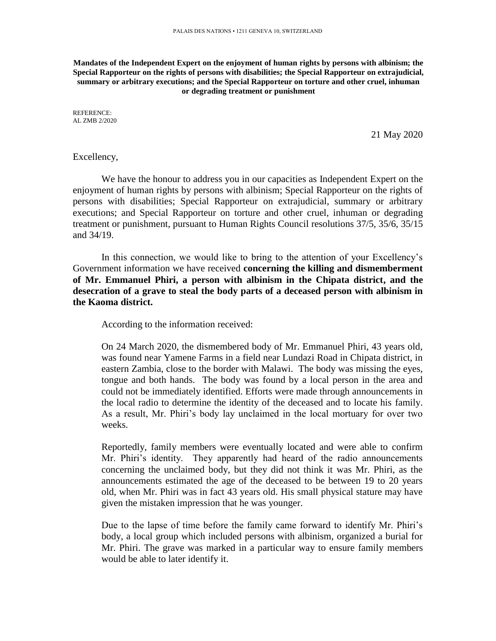**Mandates of the Independent Expert on the enjoyment of human rights by persons with albinism; the Special Rapporteur on the rights of persons with disabilities; the Special Rapporteur on extrajudicial, summary or arbitrary executions; and the Special Rapporteur on torture and other cruel, inhuman or degrading treatment or punishment**

REFERENCE: AL ZMB 2/2020

21 May 2020

Excellency,

We have the honour to address you in our capacities as Independent Expert on the enjoyment of human rights by persons with albinism; Special Rapporteur on the rights of persons with disabilities; Special Rapporteur on extrajudicial, summary or arbitrary executions; and Special Rapporteur on torture and other cruel, inhuman or degrading treatment or punishment, pursuant to Human Rights Council resolutions 37/5, 35/6, 35/15 and 34/19.

In this connection, we would like to bring to the attention of your Excellency's Government information we have received **concerning the killing and dismemberment of Mr. Emmanuel Phiri, a person with albinism in the Chipata district, and the desecration of a grave to steal the body parts of a deceased person with albinism in the Kaoma district.** 

According to the information received:

On 24 March 2020, the dismembered body of Mr. Emmanuel Phiri, 43 years old, was found near Yamene Farms in a field near Lundazi Road in Chipata district, in eastern Zambia, close to the border with Malawi. The body was missing the eyes, tongue and both hands. The body was found by a local person in the area and could not be immediately identified. Efforts were made through announcements in the local radio to determine the identity of the deceased and to locate his family. As a result, Mr. Phiri's body lay unclaimed in the local mortuary for over two weeks.

Reportedly, family members were eventually located and were able to confirm Mr. Phiri's identity. They apparently had heard of the radio announcements concerning the unclaimed body, but they did not think it was Mr. Phiri, as the announcements estimated the age of the deceased to be between 19 to 20 years old, when Mr. Phiri was in fact 43 years old. His small physical stature may have given the mistaken impression that he was younger.

Due to the lapse of time before the family came forward to identify Mr. Phiri's body, a local group which included persons with albinism, organized a burial for Mr. Phiri. The grave was marked in a particular way to ensure family members would be able to later identify it.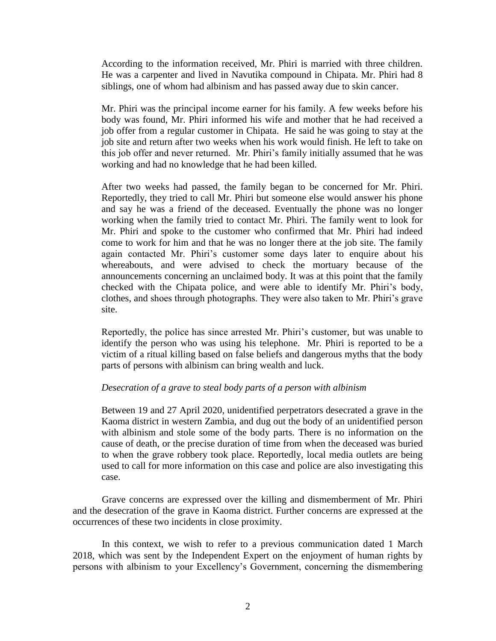According to the information received, Mr. Phiri is married with three children. He was a carpenter and lived in Navutika compound in Chipata. Mr. Phiri had 8 siblings, one of whom had albinism and has passed away due to skin cancer.

Mr. Phiri was the principal income earner for his family. A few weeks before his body was found, Mr. Phiri informed his wife and mother that he had received a job offer from a regular customer in Chipata. He said he was going to stay at the job site and return after two weeks when his work would finish. He left to take on this job offer and never returned. Mr. Phiri's family initially assumed that he was working and had no knowledge that he had been killed.

After two weeks had passed, the family began to be concerned for Mr. Phiri. Reportedly, they tried to call Mr. Phiri but someone else would answer his phone and say he was a friend of the deceased. Eventually the phone was no longer working when the family tried to contact Mr. Phiri. The family went to look for Mr. Phiri and spoke to the customer who confirmed that Mr. Phiri had indeed come to work for him and that he was no longer there at the job site. The family again contacted Mr. Phiri's customer some days later to enquire about his whereabouts, and were advised to check the mortuary because of the announcements concerning an unclaimed body. It was at this point that the family checked with the Chipata police, and were able to identify Mr. Phiri's body, clothes, and shoes through photographs. They were also taken to Mr. Phiri's grave site.

Reportedly, the police has since arrested Mr. Phiri's customer, but was unable to identify the person who was using his telephone. Mr. Phiri is reported to be a victim of a ritual killing based on false beliefs and dangerous myths that the body parts of persons with albinism can bring wealth and luck.

## *Desecration of a grave to steal body parts of a person with albinism*

Between 19 and 27 April 2020, unidentified perpetrators desecrated a grave in the Kaoma district in western Zambia, and dug out the body of an unidentified person with albinism and stole some of the body parts. There is no information on the cause of death, or the precise duration of time from when the deceased was buried to when the grave robbery took place. Reportedly, local media outlets are being used to call for more information on this case and police are also investigating this case.

Grave concerns are expressed over the killing and dismemberment of Mr. Phiri and the desecration of the grave in Kaoma district. Further concerns are expressed at the occurrences of these two incidents in close proximity.

In this context, we wish to refer to a previous communication dated 1 March 2018, which was sent by the Independent Expert on the enjoyment of human rights by persons with albinism to your Excellency's Government, concerning the dismembering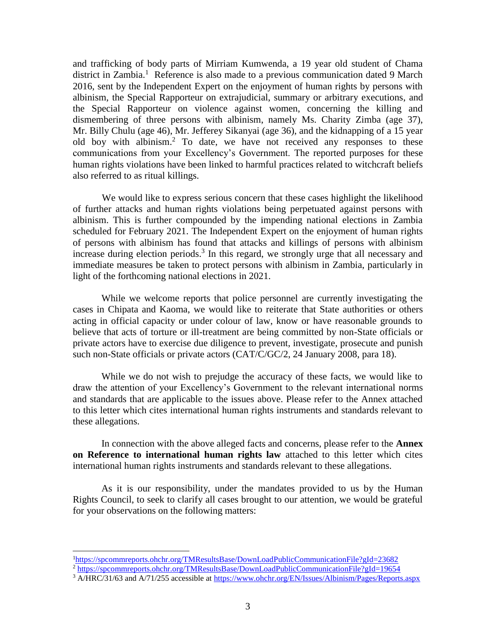and trafficking of body parts of Mirriam Kumwenda, a 19 year old student of Chama district in Zambia.<sup>1</sup> Reference is also made to a previous communication dated 9 March 2016, sent by the Independent Expert on the enjoyment of human rights by persons with albinism, the Special Rapporteur on extrajudicial, summary or arbitrary executions, and the Special Rapporteur on violence against women, concerning the killing and dismembering of three persons with albinism, namely Ms. Charity Zimba (age 37), Mr. Billy Chulu (age 46), Mr. Jefferey Sikanyai (age 36), and the kidnapping of a 15 year old boy with albinism. <sup>2</sup> To date, we have not received any responses to these communications from your Excellency's Government. The reported purposes for these human rights violations have been linked to harmful practices related to witchcraft beliefs also referred to as ritual killings.

We would like to express serious concern that these cases highlight the likelihood of further attacks and human rights violations being perpetuated against persons with albinism. This is further compounded by the impending national elections in Zambia scheduled for February 2021. The Independent Expert on the enjoyment of human rights of persons with albinism has found that attacks and killings of persons with albinism increase during election periods.<sup>3</sup> In this regard, we strongly urge that all necessary and immediate measures be taken to protect persons with albinism in Zambia, particularly in light of the forthcoming national elections in 2021.

While we welcome reports that police personnel are currently investigating the cases in Chipata and Kaoma, we would like to reiterate that State authorities or others acting in official capacity or under colour of law, know or have reasonable grounds to believe that acts of torture or ill-treatment are being committed by non-State officials or private actors have to exercise due diligence to prevent, investigate, prosecute and punish such non-State officials or private actors (CAT/C/GC/2, 24 January 2008, para 18).

While we do not wish to prejudge the accuracy of these facts, we would like to draw the attention of your Excellency's Government to the relevant international norms and standards that are applicable to the issues above. Please refer to the Annex attached to this letter which cites international human rights instruments and standards relevant to these allegations.

In connection with the above alleged facts and concerns, please refer to the **Annex on Reference to international human rights law** attached to this letter which cites international human rights instruments and standards relevant to these allegations.

As it is our responsibility, under the mandates provided to us by the Human Rights Council, to seek to clarify all cases brought to our attention, we would be grateful for your observations on the following matters:

l

<sup>1</sup><https://spcommreports.ohchr.org/TMResultsBase/DownLoadPublicCommunicationFile?gId=23682> <sup>2</sup> <https://spcommreports.ohchr.org/TMResultsBase/DownLoadPublicCommunicationFile?gId=19654>

<sup>&</sup>lt;sup>3</sup> A/HRC/31/63 and A/71/255 accessible at<https://www.ohchr.org/EN/Issues/Albinism/Pages/Reports.aspx>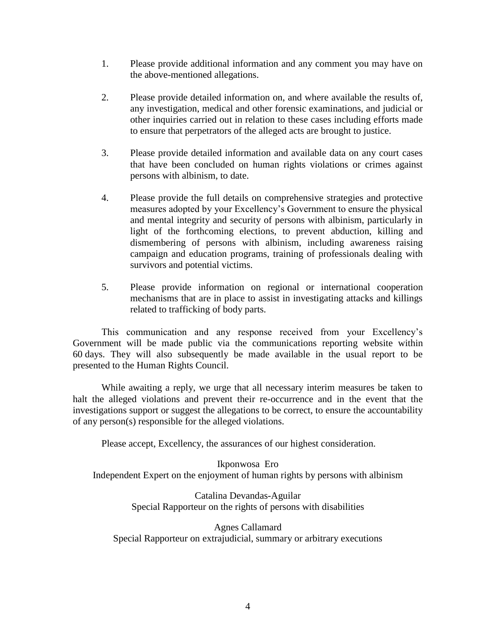- 1. Please provide additional information and any comment you may have on the above-mentioned allegations.
- 2. Please provide detailed information on, and where available the results of, any investigation, medical and other forensic examinations, and judicial or other inquiries carried out in relation to these cases including efforts made to ensure that perpetrators of the alleged acts are brought to justice.
- 3. Please provide detailed information and available data on any court cases that have been concluded on human rights violations or crimes against persons with albinism, to date.
- 4. Please provide the full details on comprehensive strategies and protective measures adopted by your Excellency's Government to ensure the physical and mental integrity and security of persons with albinism, particularly in light of the forthcoming elections, to prevent abduction, killing and dismembering of persons with albinism, including awareness raising campaign and education programs, training of professionals dealing with survivors and potential victims.
- 5. Please provide information on regional or international cooperation mechanisms that are in place to assist in investigating attacks and killings related to trafficking of body parts.

This communication and any response received from your Excellency's Government will be made public via the communications reporting website within 60 days. They will also subsequently be made available in the usual report to be presented to the Human Rights Council.

While awaiting a reply, we urge that all necessary interim measures be taken to halt the alleged violations and prevent their re-occurrence and in the event that the investigations support or suggest the allegations to be correct, to ensure the accountability of any person(s) responsible for the alleged violations.

Please accept, Excellency, the assurances of our highest consideration.

Ikponwosa Ero Independent Expert on the enjoyment of human rights by persons with albinism

> Catalina Devandas-Aguilar Special Rapporteur on the rights of persons with disabilities

Agnes Callamard Special Rapporteur on extrajudicial, summary or arbitrary executions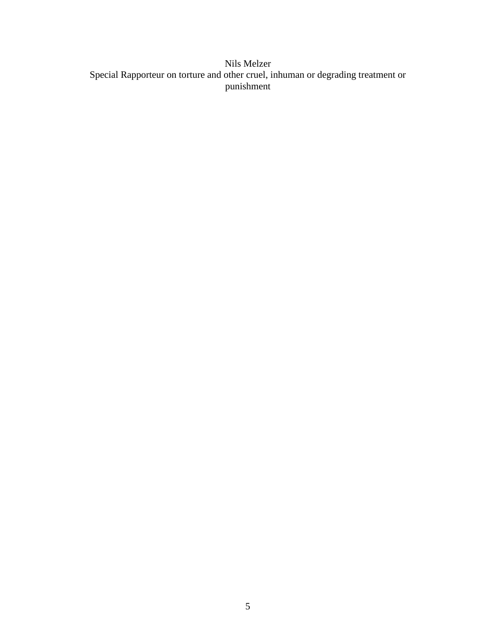## Nils Melzer Special Rapporteur on torture and other cruel, inhuman or degrading treatment or punishment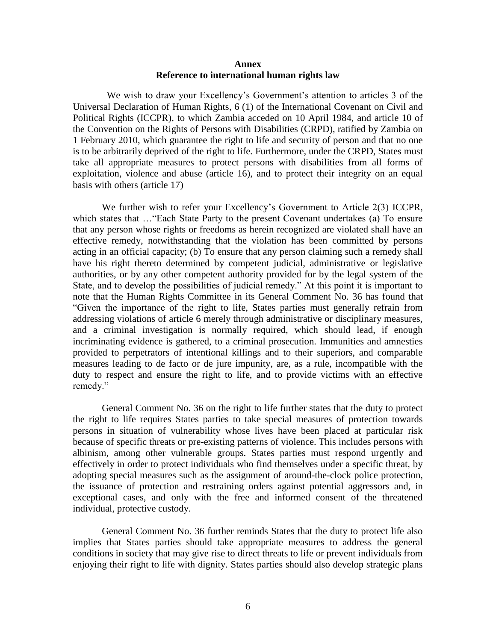## **Annex Reference to international human rights law**

 We wish to draw your Excellency's Government's attention to articles 3 of the Universal Declaration of Human Rights, 6 (1) of the International Covenant on Civil and Political Rights (ICCPR), to which Zambia acceded on 10 April 1984, and article 10 of the Convention on the Rights of Persons with Disabilities (CRPD), ratified by Zambia on 1 February 2010, which guarantee the right to life and security of person and that no one is to be arbitrarily deprived of the right to life. Furthermore, under the CRPD, States must take all appropriate measures to protect persons with disabilities from all forms of exploitation, violence and abuse (article 16), and to protect their integrity on an equal basis with others (article 17)

We further wish to refer your Excellency's Government to Article 2(3) ICCPR, which states that ... "Each State Party to the present Covenant undertakes (a) To ensure that any person whose rights or freedoms as herein recognized are violated shall have an effective remedy, notwithstanding that the violation has been committed by persons acting in an official capacity; (b) To ensure that any person claiming such a remedy shall have his right thereto determined by competent judicial, administrative or legislative authorities, or by any other competent authority provided for by the legal system of the State, and to develop the possibilities of judicial remedy." At this point it is important to note that the Human Rights Committee in its General Comment No. 36 has found that "Given the importance of the right to life, States parties must generally refrain from addressing violations of article 6 merely through administrative or disciplinary measures, and a criminal investigation is normally required, which should lead, if enough incriminating evidence is gathered, to a criminal prosecution. Immunities and amnesties provided to perpetrators of intentional killings and to their superiors, and comparable measures leading to de facto or de jure impunity, are, as a rule, incompatible with the duty to respect and ensure the right to life, and to provide victims with an effective remedy."

General Comment No. 36 on the right to life further states that the duty to protect the right to life requires States parties to take special measures of protection towards persons in situation of vulnerability whose lives have been placed at particular risk because of specific threats or pre-existing patterns of violence. This includes persons with albinism, among other vulnerable groups. States parties must respond urgently and effectively in order to protect individuals who find themselves under a specific threat, by adopting special measures such as the assignment of around-the-clock police protection, the issuance of protection and restraining orders against potential aggressors and, in exceptional cases, and only with the free and informed consent of the threatened individual, protective custody.

General Comment No. 36 further reminds States that the duty to protect life also implies that States parties should take appropriate measures to address the general conditions in society that may give rise to direct threats to life or prevent individuals from enjoying their right to life with dignity. States parties should also develop strategic plans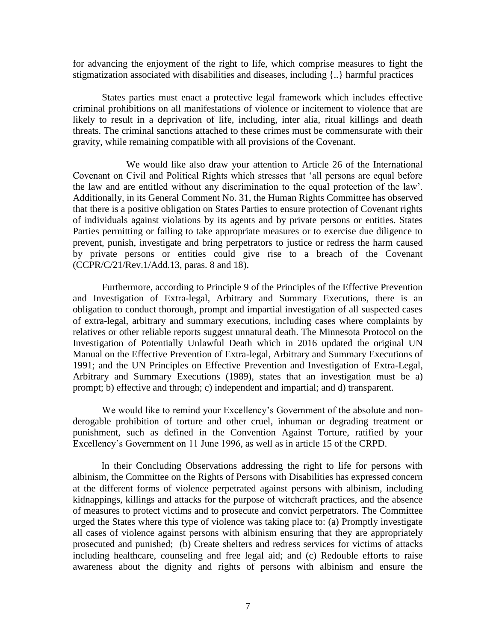for advancing the enjoyment of the right to life, which comprise measures to fight the stigmatization associated with disabilities and diseases, including {..} harmful practices

States parties must enact a protective legal framework which includes effective criminal prohibitions on all manifestations of violence or incitement to violence that are likely to result in a deprivation of life, including, inter alia, ritual killings and death threats. The criminal sanctions attached to these crimes must be commensurate with their gravity, while remaining compatible with all provisions of the Covenant.

 We would like also draw your attention to Article 26 of the International Covenant on Civil and Political Rights which stresses that 'all persons are equal before the law and are entitled without any discrimination to the equal protection of the law'. Additionally, in its General Comment No. 31, the Human Rights Committee has observed that there is a positive obligation on States Parties to ensure protection of Covenant rights of individuals against violations by its agents and by private persons or entities. States Parties permitting or failing to take appropriate measures or to exercise due diligence to prevent, punish, investigate and bring perpetrators to justice or redress the harm caused by private persons or entities could give rise to a breach of the Covenant (CCPR/C/21/Rev.1/Add.13, paras. 8 and 18).

Furthermore, according to Principle 9 of the Principles of the Effective Prevention and Investigation of Extra-legal, Arbitrary and Summary Executions, there is an obligation to conduct thorough, prompt and impartial investigation of all suspected cases of extra-legal, arbitrary and summary executions, including cases where complaints by relatives or other reliable reports suggest unnatural death. The Minnesota Protocol on the Investigation of Potentially Unlawful Death which in 2016 updated the original UN Manual on the Effective Prevention of Extra-legal, Arbitrary and Summary Executions of 1991; and the UN Principles on Effective Prevention and Investigation of Extra-Legal, Arbitrary and Summary Executions (1989), states that an investigation must be a) prompt; b) effective and through; c) independent and impartial; and d) transparent.

 We would like to remind your Excellency's Government of the absolute and nonderogable prohibition of torture and other cruel, inhuman or degrading treatment or punishment, such as defined in the Convention Against Torture, ratified by your Excellency's Government on 11 June 1996, as well as in article 15 of the CRPD.

In their Concluding Observations addressing the right to life for persons with albinism, the Committee on the Rights of Persons with Disabilities has expressed concern at the different forms of violence perpetrated against persons with albinism, including kidnappings, killings and attacks for the purpose of witchcraft practices, and the absence of measures to protect victims and to prosecute and convict perpetrators. The Committee urged the States where this type of violence was taking place to: (a) Promptly investigate all cases of violence against persons with albinism ensuring that they are appropriately prosecuted and punished; (b) Create shelters and redress services for victims of attacks including healthcare, counseling and free legal aid; and (c) Redouble efforts to raise awareness about the dignity and rights of persons with albinism and ensure the